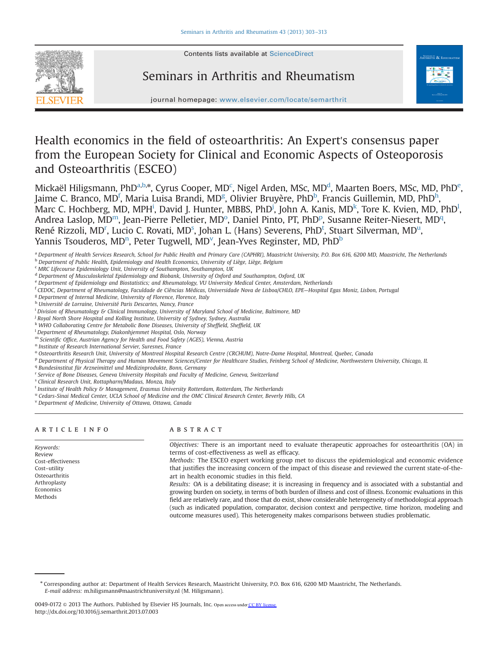

## Seminars in Arthritis and Rheumatism



journal homepage: <www.elsevier.com/locate/semarthrit>

# Health economics in the field of osteoarthritis: An Expert's consensus paper from the European Society for Clinical and Economic Aspects of Osteoporosis and Osteoarthritis (ESCEO)

Mickaël Hiligsmann, PhD<sup>a,b,</sup>\*, Cyrus Cooper, MD<sup>c</sup>, Nigel Arden, MSc, MD<sup>d</sup>, Maarten Boers, MSc, MD, PhD<sup>e</sup>, Jaime C. Branco, MD<sup>f</sup>, Maria Luisa Brandi, MD<sup>g</sup>, Olivier Bruyère, PhD<sup>b</sup>, Francis Guillemin, MD, PhD<sup>h</sup>, Marc C. Hochberg, MD, MPH<sup>i</sup>, David J. Hunter, MBBS, PhD<sup>j</sup>, John A. Kanis, MD<sup>k</sup>, Tore K. Kvien, MD, PhD<sup>I</sup>, Andrea Laslop, MD<sup>m</sup>, Jean-Pierre Pelletier, MD<sup>o</sup>, Daniel Pinto, PT, PhD<sup>p</sup>, Susanne Reiter-Niesert, MD<sup>q</sup>, René Rizzoli, MD<sup>r</sup>, Lucio C. Rovati, MD<sup>s</sup>, Johan L. (Hans) Severens, PhD<sup>t</sup>, Stuart Silverman, MD<sup>u</sup>, Yannis Tsouderos, MD<sup>n</sup>, Peter Tugwell, MD<sup>v</sup>, Jean-Yves Reginster, MD, PhD<sup>b</sup>

- a Department of Health Services Research, School for Public Health and Primary Care (CAPHRI), Maastricht University, P.O. Box 616, 6200 MD, Maastricht, The Netherlands
- <sup>b</sup> Department of Public Health, Epidemiology and Health Economics, University of Liège, Liège, Belgium
- <sup>c</sup> MRC Lifecourse Epidemiology Unit, University of Southampton, Southampton, UK
- <sup>d</sup> Department of Musculoskeletal Epidemiology and Biobank, University of Oxford and Southampton, Oxford, UK
- <sup>e</sup> Department of Epidemiology and Biostatistics; and Rheumatology, VU University Medical Center, Amsterdam, Netherlands
- <sup>f</sup> CEDOC, Department of Rheumatology, Faculdade de Ciências Médicas, Universidade Nova de Lisboa/CHLO, EPE—Hospital Egas Moniz, Lisbon, Portugal
- <sup>g</sup> Department of Internal Medicine, University of Florence, Florence, Italy
- <sup>h</sup> Université de Lorraine, Université Paris Descartes, Nancy, France
- <sup>i</sup> Division of Rheumatology & Clinical Immunology, University of Maryland School of Medicine, Baltimore, MD
- <sup>j</sup> Royal North Shore Hospital and Kolling Institute, University of Sydney, Sydney, Australia
- <sup>k</sup> WHO Collaborating Centre for Metabolic Bone Diseases, University of Sheffield, Sheffield, UK
- <sup>1</sup> Department of Rheumatology, Diakonhjemmet Hospital, Oslo, Norway
- <sup>m</sup> Scientific Office, Austrian Agency for Health and Food Safety (AGES), Vienna, Austria
- <sup>n</sup> Institute of Research International Servier, Suresnes, France
- <sup>o</sup> Osteoarthritis Research Unit, University of Montreal Hospital Research Centre (CRCHUM), Notre-Dame Hospital, Montreal, Quebec, Canada
- P Department of Physical Therapy and Human Movement Sciences/Center for Healthcare Studies, Feinberg School of Medicine, Northwestern University, Chicago, IL
- <sup>q</sup> Bundesinstitut für Arzneimittel und Medizinprodukte, Bonn, Germany
- <sup>r</sup> Service of Bone Diseases, Geneva University Hospitals and Faculty of Medicine, Geneva, Switzerland
- <sup>s</sup> Clinical Research Unit, Rottapharm/Madaus, Monza, Italy
- <sup>t</sup> Institute of Health Policy & Management, Erasmus University Rotterdam, Rotterdam, The Netherlands
- <sup>u</sup> Cedars-Sinai Medical Center, UCLA School of Medicine and the OMC Clinical Research Center, Beverly Hills, CA
- <sup>v</sup> Department of Medicine, University of Ottawa, Ottawa, Canada

## article info

Keywords: Review Cost-effectiveness Cost–utility **Osteoarthritis** Arthroplasty Economics Methods

## **ABSTRACT**

Objectives: There is an important need to evaluate therapeutic approaches for osteoarthritis (OA) in terms of cost-effectiveness as well as efficacy.

Methods: The ESCEO expert working group met to discuss the epidemiological and economic evidence that justifies the increasing concern of the impact of this disease and reviewed the current state-of-theart in health economic studies in this field.

Results: OA is a debilitating disease; it is increasing in frequency and is associated with a substantial and growing burden on society, in terms of both burden of illness and cost of illness. Economic evaluations in this field are relatively rare, and those that do exist, show considerable heterogeneity of methodological approach (such as indicated population, comparator, decision context and perspective, time horizon, modeling and outcome measures used). This heterogeneity makes comparisons between studies problematic.

<sup>n</sup> Corresponding author at: Department of Health Services Research, Maastricht University, P.O. Box 616, 6200 MD Maastricht, The Netherlands. E-mail address: [m.hiligsmann@maastrichtuniversity.nl \(M. Hiligsmann\)](mailto:m.hiligsmann@maastrichtuniversity.nl).

<sup>0049-0172 © 2013</sup> The Authors. Published by Elsevier HS Journals, Inc. Open access under [CC BY license.](http://creativecommons.org/licenses/by/3.0/) [http://dx.doi.org/10.1016/j.semarthrit.2013.07.003](dx.doi.org/10.1016/j.semarthrit.2013.07.003)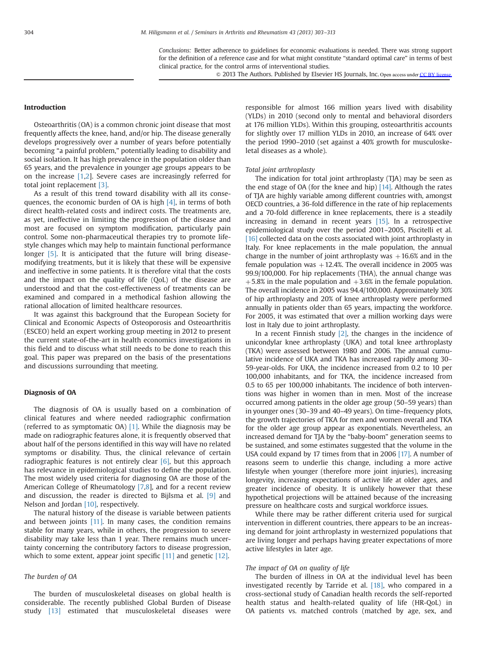Conclusions: Better adherence to guidelines for economic evaluations is needed. There was strong support for the definition of a reference case and for what might constitute "standard optimal care" in terms of best clinical practice, for the control arms of interventional studies.

& 2013 The Authors. Published by Elsevier HS Journals, Inc. Open access under [CC BY license.](http://creativecommons.org/licenses/by/3.0/)

#### Introduction

Osteoarthritis (OA) is a common chronic joint disease that most frequently affects the knee, hand, and/or hip. The disease generally develops progressively over a number of years before potentially becoming "a painful problem," potentially leading to disability and social isolation. It has high prevalence in the population older than 65 years, and the prevalence in younger age groups appears to be on the increase [\[1,2](#page-8-0)]. Severe cases are increasingly referred for total joint replacement [\[3\].](#page-8-0)

As a result of this trend toward disability with all its consequences, the economic burden of OA is high  $[4]$ , in terms of both direct health-related costs and indirect costs. The treatments are, as yet, ineffective in limiting the progression of the disease and most are focused on symptom modification, particularly pain control. Some non-pharmaceutical therapies try to promote lifestyle changes which may help to maintain functional performance longer [\[5\].](#page-8-0) It is anticipated that the future will bring diseasemodifying treatments, but it is likely that these will be expensive and ineffective in some patients. It is therefore vital that the costs and the impact on the quality of life (QoL) of the disease are understood and that the cost-effectiveness of treatments can be examined and compared in a methodical fashion allowing the rational allocation of limited healthcare resources.

It was against this background that the European Society for Clinical and Economic Aspects of Osteoporosis and Osteoarthritis (ESCEO) held an expert working group meeting in 2012 to present the current state-of-the-art in health economics investigations in this field and to discuss what still needs to be done to reach this goal. This paper was prepared on the basis of the presentations and discussions surrounding that meeting.

#### Diagnosis of OA

The diagnosis of OA is usually based on a combination of clinical features and where needed radiographic confirmation (referred to as symptomatic OA) [\[1\]](#page-8-0). While the diagnosis may be made on radiographic features alone, it is frequently observed that about half of the persons identified in this way will have no related symptoms or disability. Thus, the clinical relevance of certain radiographic features is not entirely clear  $[6]$ , but this approach has relevance in epidemiological studies to define the population. The most widely used criteria for diagnosing OA are those of the American College of Rheumatology [\[7,8](#page-8-0)], and for a recent review and discussion, the reader is directed to Bijlsma et al.  $[9]$  and Nelson and Jordan [\[10\],](#page-8-0) respectively.

The natural history of the disease is variable between patients and between joints  $[11]$ . In many cases, the condition remains stable for many years, while in others, the progression to severe disability may take less than 1 year. There remains much uncertainty concerning the contributory factors to disease progression, which to some extent, appear joint specific [\[11\]](#page-9-0) and genetic [\[12\].](#page-9-0)

## The burden of OA

The burden of musculoskeletal diseases on global health is considerable. The recently published Global Burden of Disease study [\[13\]](#page-9-0) estimated that musculoskeletal diseases were

responsible for almost 166 million years lived with disability (YLDs) in 2010 (second only to mental and behavioral disorders at 176 million YLDs). Within this grouping, osteoarthritis accounts for slightly over 17 million YLDs in 2010, an increase of 64% over the period 1990–2010 (set against a 40% growth for musculoskeletal diseases as a whole).

#### Total joint arthroplasty

The indication for total joint arthroplasty (TJA) may be seen as the end stage of OA (for the knee and hip) [\[14\]](#page-9-0). Although the rates of TJA are highly variable among different countries with, amongst OECD countries, a 36-fold difference in the rate of hip replacements and a 70-fold difference in knee replacements, there is a steadily increasing in demand in recent years [\[15\]](#page-9-0). In a retrospective epidemiological study over the period 2001–2005, Piscitelli et al. [\[16\]](#page-9-0) collected data on the costs associated with joint arthroplasty in Italy. For knee replacements in the male population, the annual change in the number of joint arthroplasty was  $+16.6%$  and in the female population was  $+12.4%$ . The overall incidence in 2005 was 99.9/100,000. For hip replacements (THA), the annual change was  $+5.8\%$  in the male population and  $+3.6\%$  in the female population. The overall incidence in 2005 was 94.4/100,000. Approximately 30% of hip arthroplasty and 20% of knee arthroplasty were performed annually in patients older than 65 years, impacting the workforce. For 2005, it was estimated that over a million working days were lost in Italy due to joint arthroplasty.

In a recent Finnish study  $[2]$ , the changes in the incidence of unicondylar knee arthroplasty (UKA) and total knee arthroplasty (TKA) were assessed between 1980 and 2006. The annual cumulative incidence of UKA and TKA has increased rapidly among 30– 59-year-olds. For UKA, the incidence increased from 0.2 to 10 per 100,000 inhabitants, and for TKA, the incidence increased from 0.5 to 65 per 100,000 inhabitants. The incidence of both interventions was higher in women than in men. Most of the increase occurred among patients in the older age group (50–59 years) than in younger ones (30–39 and 40–49 years). On time–frequency plots, the growth trajectories of TKA for men and women overall and TKA for the older age group appear as exponentials. Nevertheless, an increased demand for TJA by the "baby-boom" generation seems to be sustained, and some estimates suggested that the volume in the USA could expand by 17 times from that in 2006 [\[17\].](#page-9-0) A number of reasons seem to underlie this change, including a more active lifestyle when younger (therefore more joint injuries), increasing longevity, increasing expectations of active life at older ages, and greater incidence of obesity. It is unlikely however that these hypothetical projections will be attained because of the increasing pressure on healthcare costs and surgical workforce issues.

While there may be rather different criteria used for surgical intervention in different countries, there appears to be an increasing demand for joint arthroplasty in westernized populations that are living longer and perhaps having greater expectations of more active lifestyles in later age.

#### The impact of OA on quality of life

The burden of illness in OA at the individual level has been investigated recently by Tarride et al. [\[18\]](#page-9-0), who compared in a cross-sectional study of Canadian health records the self-reported health status and health-related quality of life (HR-QoL) in OA patients vs. matched controls (matched by age, sex, and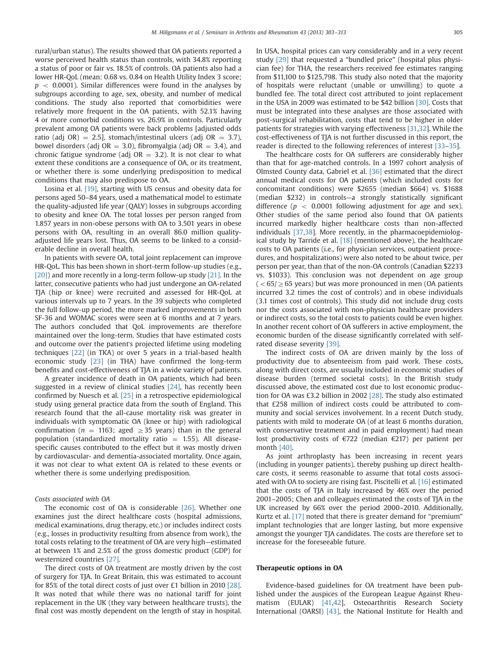rural/urban status). The results showed that OA patients reported a worse perceived health status than controls, with 34.8% reporting a status of poor or fair vs. 18.5% of controls. OA patients also had a lower HR-QoL (mean: 0.68 vs. 0.84 on Health Utility Index 3 score;  $p < 0.0001$ ). Similar differences were found in the analyses by subgroups according to age, sex, obesity, and number of medical conditions. The study also reported that comorbidities were relatively more frequent in the OA patients, with 52.1% having 4 or more comorbid conditions vs. 26.9% in controls. Particularly prevalent among OA patients were back problems [adjusted odds ratio (adj OR) = 2.5], stomach/intestinal ulcers (adj OR = 3.7), bowel disorders (adj OR = 3.0), fibromyalgia (adj OR = 3.4), and chronic fatigue syndrome (adj  $OR = 3.2$ ). It is not clear to what extent these conditions are a consequence of OA, or its treatment, or whether there is some underlying predisposition to medical conditions that may also predispose to OA.

Losina et al. [\[19\]](#page-9-0), starting with US census and obesity data for persons aged 50–84 years, used a mathematical model to estimate the quality-adjusted life year (QALY) losses in subgroups according to obesity and knee OA. The total losses per person ranged from 1.857 years in non-obese persons with OA to 3.501 years in obese persons with OA, resulting in an overall 86.0 million qualityadjusted life years lost. Thus, OA seems to be linked to a considerable decline in overall health.

In patients with severe OA, total joint replacement can improve HR-QoL. This has been shown in short-term follow-up studies (e.g., [\[20\]\)](#page-9-0) and more recently in a long-term follow-up study [\[21\]](#page-9-0). In the latter, consecutive patients who had just undergone an OA-related TJA (hip or knee) were recruited and assessed for HR-QoL at various intervals up to 7 years. In the 39 subjects who completed the full follow-up period, the more marked improvements in both SF-36 and WOMAC scores were seen at 6 months and at 7 years. The authors concluded that QoL improvements are therefore maintained over the long-term. Studies that have estimated costs and outcome over the patient's projected lifetime using modeling techniques [\[22\]](#page-9-0) (in TKA) or over 5 years in a trial-based health economic study [\[23\]](#page-9-0) (in THA) have confirmed the long-term benefits and cost-effectiveness of TJA in a wide variety of patients.

A greater incidence of death in OA patients, which had been suggested in a review of clinical studies [\[24\],](#page-9-0) has recently been confirmed by Nuesch et al. [\[25\]](#page-9-0) in a retrospective epidemiological study using general practice data from the south of England. This research found that the all-cause mortality risk was greater in individuals with symptomatic OA (knee or hip) with radiological confirmation ( $n = 1163$ ; aged  $\geq 35$  years) than in the general population (standardized mortality ratio  $=$  1.55). All diseasespecific causes contributed to the effect but it was mostly driven by cardiovascular- and dementia-associated mortality. Once again, it was not clear to what extent OA is related to these events or whether there is some underlying predisposition.

#### Costs associated with OA

The economic cost of OA is considerable [\[26\].](#page-9-0) Whether one examines just the direct healthcare costs (hospital admissions, medical examinations, drug therapy, etc.) or includes indirect costs (e.g., losses in productivity resulting from absence from work), the total costs relating to the treatment of OA are very high—estimated at between 1% and 2.5% of the gross domestic product (GDP) for westernized countries [\[27\]](#page-9-0).

The direct costs of OA treatment are mostly driven by the cost of surgery for TJA. In Great Britain, this was estimated to account for 85% of the total direct costs of just over £1 billion in 2010 [\[28\].](#page-9-0) It was noted that while there was no national tariff for joint replacement in the UK (they vary between healthcare trusts), the final cost was mostly dependent on the length of stay in hospital. In USA, hospital prices can vary considerably and in a very recent study [\[29\]](#page-9-0) that requested a "bundled price" (hospital plus physician fee) for THA, the researchers received fee estimates ranging from \$11,100 to \$125,798. This study also noted that the majority of hospitals were reluctant (unable or unwilling) to quote a bundled fee. The total direct cost attributed to joint replacement in the USA in 2009 was estimated to be \$42 billion [\[30\].](#page-9-0) Costs that must be integrated into these analyses are those associated with post-surgical rehabilitation, costs that tend to be higher in older patients for strategies with varying effectiveness [\[31,32](#page-9-0)]. While the cost-effectiveness of TJA is not further discussed in this report, the reader is directed to the following references of interest [\[33](#page-9-0)–[35](#page-9-0)].

The healthcare costs for OA sufferers are considerably higher than that for age-matched controls. In a 1997 cohort analysis of Olmsted County data, Gabriel et al. [\[36\]](#page-9-0) estimated that the direct annual medical costs for OA patients (which included costs for concomitant conditions) were \$2655 (median \$664) vs. \$1688 (median \$232) in controls—a strongly statistically significant difference ( $p < 0.0001$  following adjustment for age and sex). Other studies of the same period also found that OA patients incurred markedly higher healthcare costs than non-affected individuals [\[37](#page-9-0),[38](#page-9-0)]. More recently, in the pharmacoepidemiological study by Tarride et al. [\[18\]](#page-9-0) (mentioned above), the healthcare costs to OA patients (i.e., for physician services, outpatient procedures, and hospitalizations) were also noted to be about twice, per person per year, than that of the non-OA controls (Canadian \$2233 vs. \$1033). This conclusion was not dependent on age group  $(< 65$ / $\geq 65$  years) but was more pronounced in men (OA patients incurred 3.2 times the cost of controls) and in obese individuals (3.1 times cost of controls). This study did not include drug costs nor the costs associated with non-physician healthcare providers or indirect costs, so the total costs to patients could be even higher. In another recent cohort of OA sufferers in active employment, the economic burden of the disease significantly correlated with selfrated disease severity [\[39\].](#page-9-0)

The indirect costs of OA are driven mainly by the loss of productivity due to absenteeism from paid work. These costs, along with direct costs, are usually included in economic studies of disease burden (termed societal costs). In the British study discussed above, the estimated cost due to lost economic production for OA was £3.2 billion in 2002 [\[28\].](#page-9-0) The study also estimated that £258 million of indirect costs could be attributed to community and social services involvement. In a recent Dutch study, patients with mild to moderate OA (of at least 6 months duration, with conservative treatment and in paid employment) had mean lost productivity costs of €722 (median €217) per patient per month [\[40\]](#page-9-0).

As joint arthroplasty has been increasing in recent years (including in younger patients), thereby pushing up direct healthcare costs, it seems reasonable to assume that total costs associated with OA to society are rising fast. Piscitelli et al. [\[16\]](#page-9-0) estimated that the costs of TJA in Italy increased by 46% over the period 2001–2005; Chen and colleagues estimated the costs of TJA in the UK increased by 66% over the period 2000–2010. Additionally, Kurtz et al. [\[17\]](#page-9-0) noted that there is greater demand for "premium" implant technologies that are longer lasting, but more expensive amongst the younger TJA candidates. The costs are therefore set to increase for the foreseeable future.

## Therapeutic options in OA

Evidence-based guidelines for OA treatment have been published under the auspices of the European League Against Rheumatism (EULAR) [\[41,42](#page-9-0)], Osteoarthritis Research Society International (OARSI) [\[43\],](#page-9-0) the National Institute for Health and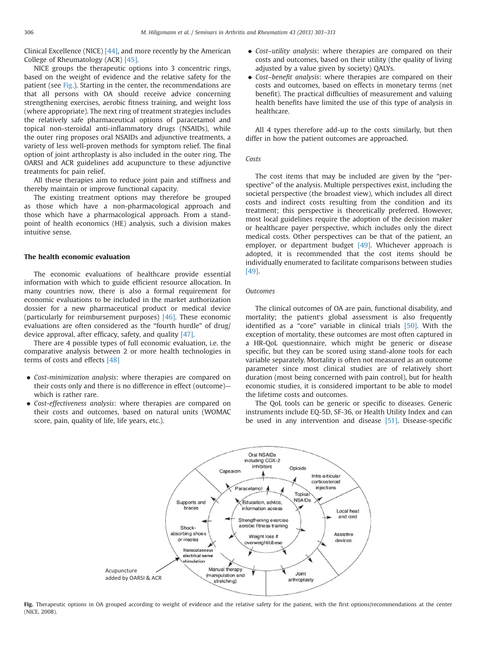Clinical Excellence (NICE) [\[44\]](#page-9-0), and more recently by the American College of Rheumatology (ACR) [\[45\]](#page-9-0).

NICE groups the therapeutic options into 3 concentric rings, based on the weight of evidence and the relative safety for the patient (see Fig.). Starting in the center, the recommendations are that all persons with OA should receive advice concerning strengthening exercises, aerobic fitness training, and weight loss (where appropriate). The next ring of treatment strategies includes the relatively safe pharmaceutical options of paracetamol and topical non-steroidal anti-inflammatory drugs (NSAIDs), while the outer ring proposes oral NSAIDs and adjunctive treatments, a variety of less well-proven methods for symptom relief. The final option of joint arthroplasty is also included in the outer ring. The OARSI and ACR guidelines add acupuncture to these adjunctive treatments for pain relief.

All these therapies aim to reduce joint pain and stiffness and thereby maintain or improve functional capacity.

The existing treatment options may therefore be grouped as those which have a non-pharmacological approach and those which have a pharmacological approach. From a standpoint of health economics (HE) analysis, such a division makes intuitive sense.

## The health economic evaluation

The economic evaluations of healthcare provide essential information with which to guide efficient resource allocation. In many countries now, there is also a formal requirement for economic evaluations to be included in the market authorization dossier for a new pharmaceutical product or medical device (particularly for reimbursement purposes) [\[46\].](#page-9-0) These economic evaluations are often considered as the "fourth hurdle" of drug/ device approval, after efficacy, safety, and quality [\[47\].](#page-9-0)

There are 4 possible types of full economic evaluation, i.e. the comparative analysis between 2 or more health technologies in terms of costs and effects [\[48\]](#page-9-0)

- Cost-minimization analysis: where therapies are compared on their costs only and there is no difference in effect (outcome) which is rather rare.
- Cost-effectiveness analysis: where therapies are compared on their costs and outcomes, based on natural units (WOMAC score, pain, quality of life, life years, etc.).
- Cost–utility analysis: where therapies are compared on their costs and outcomes, based on their utility (the quality of living adjusted by a value given by society) QALYs.
- Cost–benefit analysis: where therapies are compared on their costs and outcomes, based on effects in monetary terms (net benefit). The practical difficulties of measurement and valuing health benefits have limited the use of this type of analysis in healthcare.

All 4 types therefore add-up to the costs similarly, but then differ in how the patient outcomes are approached.

#### Costs

The cost items that may be included are given by the "perspective" of the analysis. Multiple perspectives exist, including the societal perspective (the broadest view), which includes all direct costs and indirect costs resulting from the condition and its treatment; this perspective is theoretically preferred. However, most local guidelines require the adoption of the decision maker or healthcare payer perspective, which includes only the direct medical costs. Other perspectives can be that of the patient, an employer, or department budget [\[49\].](#page-9-0) Whichever approach is adopted, it is recommended that the cost items should be individually enumerated to facilitate comparisons between studies [\[49\].](#page-9-0)

## Outcomes

The clinical outcomes of OA are pain, functional disability, and mortality; the patient's global assessment is also frequently identified as a "core" variable in clinical trials [\[50\].](#page-9-0) With the exception of mortality, these outcomes are most often captured in a HR-QoL questionnaire, which might be generic or disease specific, but they can be scored using stand-alone tools for each variable separately. Mortality is often not measured as an outcome parameter since most clinical studies are of relatively short duration (most being concerned with pain control), but for health economic studies, it is considered important to be able to model the lifetime costs and outcomes.

The QoL tools can be generic or specific to diseases. Generic instruments include EQ-5D, SF-36, or Health Utility Index and can be used in any intervention and disease [\[51\].](#page-9-0) Disease-specific



Fig. Therapeutic options in OA grouped according to weight of evidence and the relative safety for the patient, with the first options/recommendations at the center (NICE, 2008).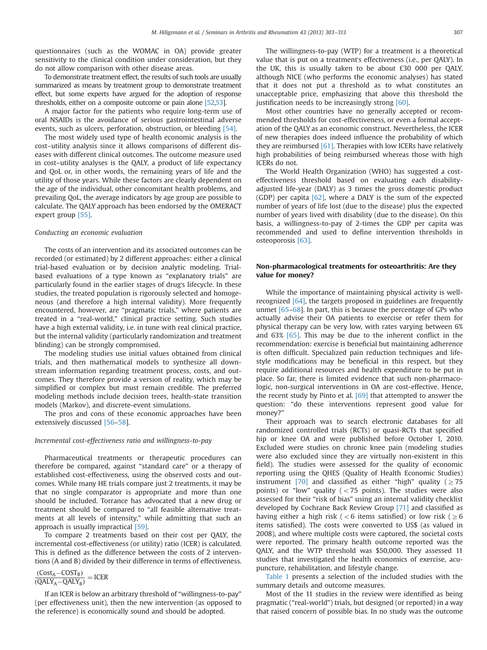questionnaires (such as the WOMAC in OA) provide greater sensitivity to the clinical condition under consideration, but they do not allow comparison with other disease areas.

To demonstrate treatment effect, the results of such tools are usually summarized as means by treatment group to demonstrate treatment effect, but some experts have argued for the adoption of response thresholds, either on a composite outcome or pain alone [\[52,53\]](#page-9-0).

A major factor for the patients who require long-term use of oral NSAIDs is the avoidance of serious gastrointestinal adverse events, such as ulcers, perforation, obstruction, or bleeding [\[54\]](#page-9-0).

The most widely used type of health economic analysis is the cost–utility analysis since it allows comparisons of different diseases with different clinical outcomes. The outcome measure used in cost–utility analyses is the QALY, a product of life expectancy and QoL or, in other words, the remaining years of life and the utility of those years. While these factors are clearly dependent on the age of the individual, other concomitant health problems, and prevailing QoL, the average indicators by age group are possible to calculate. The QALY approach has been endorsed by the OMERACT expert group [\[55\]](#page-9-0).

#### Conducting an economic evaluation

The costs of an intervention and its associated outcomes can be recorded (or estimated) by 2 different approaches: either a clinical trial-based evaluation or by decision analytic modeling. Trialbased evaluations of a type known as "explanatory trials" are particularly found in the earlier stages of drug's lifecycle. In these studies, the treated population is rigorously selected and homogeneous (and therefore a high internal validity). More frequently encountered, however, are "pragmatic trials," where patients are treated in a "real-world," clinical practice setting. Such studies have a high external validity, i.e. in tune with real clinical practice, but the internal validity (particularly randomization and treatment blinding) can be strongly compromised.

The modeling studies use initial values obtained from clinical trials, and then mathematical models to synthesize all downstream information regarding treatment process, costs, and outcomes. They therefore provide a version of reality, which may be simplified or complex but must remain credible. The preferred modeling methods include decision trees, health-state transition models (Markov), and discrete-event simulations.

The pros and cons of these economic approaches have been extensively discussed [\[56](#page-9-0)–[58\]](#page-9-0).

#### Incremental cost-effectiveness ratio and willingness-to-pay

Pharmaceutical treatments or therapeutic procedures can therefore be compared, against "standard care" or a therapy of established cost-effectiveness, using the observed costs and outcomes. While many HE trials compare just 2 treatments, it may be that no single comparator is appropriate and more than one should be included. Torrance has advocated that a new drug or treatment should be compared to "all feasible alternative treatments at all levels of intensity," while admitting that such an approach is usually impractical [\[59\].](#page-9-0)

To compare 2 treatments based on their cost per QALY, the incremental cost-effectiveness (or utility) ratio (ICER) is calculated. This is defined as the difference between the costs of 2 interventions (A and B) divided by their difference in terms of effectiveness.

$$
\frac{(Cost_A - COST_B)}{(QALY_A - QALY_B)} = ICER
$$

If an ICER is below an arbitrary threshold of "willingness-to-pay" (per effectiveness unit), then the new intervention (as opposed to the reference) is economically sound and should be adopted.

The willingness-to-pay (WTP) for a treatment is a theoretical value that is put on a treatment's effectiveness (i.e., per QALY). In the UK, this is usually taken to be about £30 000 per QALY, although NICE (who performs the economic analyses) has stated that it does not put a threshold as to what constitutes an unacceptable price, emphasizing that above this threshold the justification needs to be increasingly strong [\[60\]](#page-9-0).

Most other countries have no generally accepted or recommended thresholds for cost-effectiveness, or even a formal acceptation of the QALY as an economic construct. Nevertheless, the ICER of new therapies does indeed influence the probability of which they are reimbursed [\[61\].](#page-9-0) Therapies with low ICERs have relatively high probabilities of being reimbursed whereas those with high ICERs do not.

The World Health Organization (WHO) has suggested a costeffectiveness threshold based on evaluating each disabilityadjusted life-year (DALY) as 3 times the gross domestic product (GDP) per capita [\[62\],](#page-9-0) where a DALY is the sum of the expected number of years of life lost (due to the disease) plus the expected number of years lived with disability (due to the disease). On this basis, a willingness-to-pay of 2-times the GDP per capita was recommended and used to define intervention thresholds in osteoporosis [\[63\]](#page-9-0).

## Non-pharmacological treatments for osteoarthritis: Are they value for money?

While the importance of maintaining physical activity is wellrecognized [\[64\]](#page-9-0), the targets proposed in guidelines are frequently unmet [\[65](#page-10-0)–[68\]](#page-10-0). In part, this is because the percentage of GPs who actually advise their OA patients to exercise or refer them for physical therapy can be very low, with rates varying between 6% and 63% [\[65\]](#page-10-0). This may be due to the inherent conflict in the recommendation: exercise is beneficial but maintaining adherence is often difficult. Specialized pain reduction techniques and lifestyle modifications may be beneficial in this respect, but they require additional resources and health expenditure to be put in place. So far, there is limited evidence that such non-pharmacologic, non-surgical interventions in OA are cost-effective. Hence, the recent study by Pinto et al. [\[69\]](#page-10-0) that attempted to answer the question: "do these interventions represent good value for money?"

Their approach was to search electronic databases for all randomized controlled trials (RCTs) or quasi-RCTs that specified hip or knee OA and were published before October 1, 2010. Excluded were studies on chronic knee pain (modeling studies were also excluded since they are virtually non-existent in this field). The studies were assessed for the quality of economic reporting using the QHES (Quality of Health Economic Studies) instrument [\[70\]](#page-10-0) and classified as either "high" quality ( $\geq$  75 points) or "low" quality ( $<$  75 points). The studies were also assessed for their "risk of bias" using an internal validity checklist developed by Cochrane Back Review Group [\[71\]](#page-10-0) and classified as having either a high risk ( $<$  6 items satisfied) or low risk ( $\geq$  6 items satisfied). The costs were converted to US\$ (as valued in 2008), and where multiple costs were captured, the societal costs were reported. The primary health outcome reported was the QALY, and the WTP threshold was \$50,000. They assessed 11 studies that investigated the health economics of exercise, acupuncture, rehabilitation, and lifestyle change.

[Table 1](#page-5-0) presents a selection of the included studies with the summary details and outcome measures.

Most of the 11 studies in the review were identified as being pragmatic ("real-world") trials, but designed (or reported) in a way that raised concern of possible bias. In no study was the outcome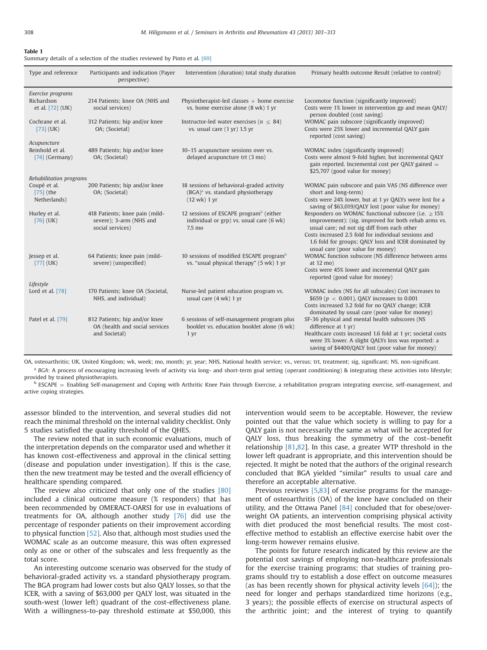#### <span id="page-5-0"></span>Table 1

Summary details of a selection of the studies reviewed by Pinto et al. [\[69\]](#page-10-0)

| Type and reference                                 | Participants and indication (Payer<br>perspective)                               | Intervention (duration) total study duration                                                                  | Primary health outcome Result (relative to control)                                                                                                                                                                                                                                                                  |  |  |  |  |
|----------------------------------------------------|----------------------------------------------------------------------------------|---------------------------------------------------------------------------------------------------------------|----------------------------------------------------------------------------------------------------------------------------------------------------------------------------------------------------------------------------------------------------------------------------------------------------------------------|--|--|--|--|
| Exercise programs                                  |                                                                                  |                                                                                                               |                                                                                                                                                                                                                                                                                                                      |  |  |  |  |
| Richardson<br>et al. [72] (UK)                     | 214 Patients; knee OA (NHS and<br>social services)                               | Physiotherapist-led classes $+$ home exercise<br>vs. home exercise alone (8 wk) 1 yr                          | Locomotor function (significantly improved)<br>Costs were 1% lower in intervention gp and mean QALY/<br>person doubled (cost saving)                                                                                                                                                                                 |  |  |  |  |
| Cochrane et al.<br>$[73]$ (UK)                     | 312 Patients; hip and/or knee<br>OA; (Societal)                                  | Instructor-led water exercises ( $n \leq 84$ )<br>vs. usual care (1 yr) 1.5 yr                                | WOMAC pain subscore (significantly improved)<br>Costs were 25% lower and incremental QALY gain<br>reported (cost saving)                                                                                                                                                                                             |  |  |  |  |
| Acupuncture<br>Reinhold et al.<br>$[74]$ (Germany) | 489 Patients; hip and/or knee<br>OA; (Societal)                                  | 10-15 acupuncture sessions over vs.<br>delayed acupuncture trt (3 mo)                                         | WOMAC index (significantly improved)<br>Costs were almost 9-fold higher, but incremental QALY<br>gain reported. Incremental cost per QALY gained $=$<br>\$25,707 (good value for money)                                                                                                                              |  |  |  |  |
| Rehabilitation programs                            |                                                                                  |                                                                                                               |                                                                                                                                                                                                                                                                                                                      |  |  |  |  |
| Coupé et al.<br>$[75]$ (the                        | 200 Patients; hip and/or knee<br>OA; (Societal)                                  | 18 sessions of behavioral-graded activity<br>$(BGA)^a$ vs. standard physiotherapy                             | WOMAC pain subscore and pain VAS (NS difference over<br>short and long-term)                                                                                                                                                                                                                                         |  |  |  |  |
| Netherlands)                                       |                                                                                  | $(12 \text{ wk})$ 1 yr                                                                                        | Costs were 24% lower, but at 1 yr QALYs were lost for a<br>saving of \$63,019/QALY lost (poor value for money)                                                                                                                                                                                                       |  |  |  |  |
| Hurley et al.<br>$[76]$ (UK)                       | 418 Patients; knee pain (mild-<br>severe); 3-arm (NHS and<br>social services)    | 12 sessions of ESCAPE program $\frac{b}{c}$ (either<br>individual or grp) vs. usual care (6 wk)<br>7.5 mo     | Responders on WOMAC functional subscore (i.e. $\geq$ 15%<br>improvement): (sig. improved for both rehab arms vs.<br>usual care; nd not sig diff from each other<br>Costs increased 2.5 fold for individual sessions and<br>1.6 fold for groups; QALY loss and ICER dominated by<br>usual care (poor value for money) |  |  |  |  |
| Jessep et al.<br>$[77]$ (UK)                       | 64 Patients; knee pain (mild-<br>severe) (unspecified)                           | 10 sessions of modified ESCAPE programb<br>vs. "usual physical therapy" (5 wk) 1 yr                           | WOMAC function subscore (NS difference between arms<br>at $12 \text{ mo}$ )                                                                                                                                                                                                                                          |  |  |  |  |
|                                                    |                                                                                  |                                                                                                               | Costs were 45% lower and incremental QALY gain<br>reported (good value for money)                                                                                                                                                                                                                                    |  |  |  |  |
| Lifestyle                                          |                                                                                  |                                                                                                               |                                                                                                                                                                                                                                                                                                                      |  |  |  |  |
| Lord et al. [78]                                   | 170 Patients; knee OA (Societal,<br>NHS, and individual)                         | Nurse-led patient education program vs.<br>usual care (4 wk) 1 yr                                             | WOMAC index (NS for all subscales) Cost increases to<br>\$659 ( $p < 0.001$ ), QALY increases to 0.001<br>Costs increased 3.2 fold for no QALY change; ICER<br>dominated by usual care (poor value for money)                                                                                                        |  |  |  |  |
| Patel et al. [79]                                  | 812 Patients; hip and/or knee<br>OA (health and social services<br>and Societal) | 6 sessions of self-management program plus<br>booklet vs. education booklet alone (6 wk)<br>$1 \,\mathrm{yr}$ | SF-36 physical and mental health subscores (NS<br>difference at 1 yr)<br>Healthcare costs increased 1.6 fold at 1 yr; societal costs<br>were 3% lower. A slight QALYs loss was reported: a<br>saving of \$4400/QALY lost (poor value for money)                                                                      |  |  |  |  |

OA, osteoarthritis; UK, United Kingdom; wk, week; mo, month; yr, year; NHS, National health service; vs., versus; trt, treatment; sig, significant; NS, non-significant. <sup>a</sup> BGA: A process of encouraging increasing levels of activity via long- and short-term goal setting (operant conditioning) & integrating these activities into lifestyle; provided by trained physiotherapists.

 $B$  ESCAPE = Enabling Self-management and Coping with Arthritic Knee Pain through Exercise, a rehabilitation program integrating exercise, self-management, and active coping strategies.

assessor blinded to the intervention, and several studies did not reach the minimal threshold on the internal validity checklist. Only 5 studies satisfied the quality threshold of the QHES.

The review noted that in such economic evaluations, much of the interpretation depends on the comparator used and whether it has known cost-effectiveness and approval in the clinical setting (disease and population under investigation). If this is the case, then the new treatment may be tested and the overall efficiency of healthcare spending compared.

The review also criticized that only one of the studies [\[80\]](#page-10-0) included a clinical outcome measure (% responders) that has been recommended by OMERACT-OARSI for use in evaluations of treatments for OA, although another study [\[76\]](#page-10-0) did use the percentage of responder patients on their improvement according to physical function [\[52\]](#page-9-0). Also that, although most studies used the WOMAC scale as an outcome measure, this was often expressed only as one or other of the subscales and less frequently as the total score.

An interesting outcome scenario was observed for the study of behavioral-graded activity vs. a standard physiotherapy program. The BGA program had lower costs but also QALY losses, so that the ICER, with a saving of \$63,000 per QALY lost, was situated in the south-west (lower left) quadrant of the cost-effectiveness plane. With a willingness-to-pay threshold estimate at \$50,000, this intervention would seem to be acceptable. However, the review pointed out that the value which society is willing to pay for a QALY gain is not necessarily the same as what will be accepted for QALY loss, thus breaking the symmetry of the cost–benefit relationship [\[81,82](#page-10-0)]. In this case, a greater WTP threshold in the lower left quadrant is appropriate, and this intervention should be rejected. It might be noted that the authors of the original research concluded that BGA yielded "similar" results to usual care and therefore an acceptable alternative.

Previous reviews [\[5](#page-8-0)[,83\]](#page-10-0) of exercise programs for the management of osteoarthritis (OA) of the knee have concluded on their utility, and the Ottawa Panel [\[84\]](#page-10-0) concluded that for obese/overweight OA patients, an intervention comprising physical activity with diet produced the most beneficial results. The most costeffective method to establish an effective exercise habit over the long-term however remains elusive.

The points for future research indicated by this review are the potential cost savings of employing non-healthcare professionals for the exercise training programs; that studies of training programs should try to establish a dose effect on outcome measures (as has been recently shown for physical activity levels  $[64]$ ); the need for longer and perhaps standardized time horizons (e.g., 3 years); the possible effects of exercise on structural aspects of the arthritic joint; and the interest of trying to quantify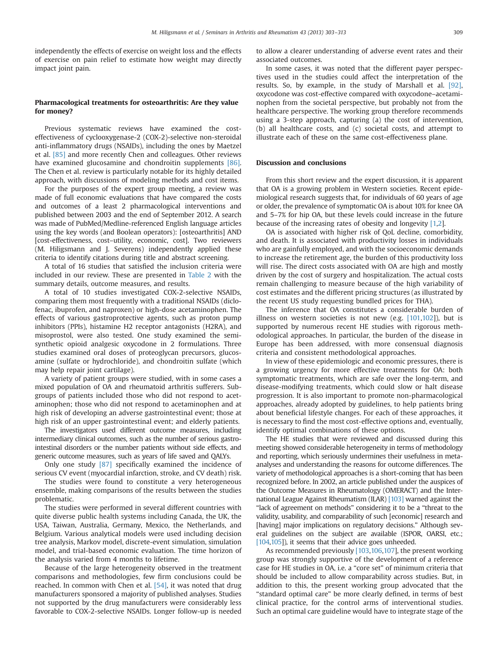independently the effects of exercise on weight loss and the effects of exercise on pain relief to estimate how weight may directly impact joint pain.

## Pharmacological treatments for osteoarthritis: Are they value for money?

Previous systematic reviews have examined the costeffectiveness of cyclooxygenase-2 (COX-2)-selective non-steroidal anti-inflammatory drugs (NSAIDs), including the ones by Maetzel et al. [\[85\]](#page-10-0) and more recently Chen and colleagues. Other reviews have examined glucosamine and chondroitin supplements [\[86\].](#page-10-0) The Chen et al. review is particularly notable for its highly detailed approach, with discussions of modeling methods and cost items.

For the purposes of the expert group meeting, a review was made of full economic evaluations that have compared the costs and outcomes of a least 2 pharmacological interventions and published between 2003 and the end of September 2012. A search was made of PubMed/Medline-referenced English language articles using the key words (and Boolean operators): [osteoarthritis] AND [cost-effectiveness, cost–utility, economic, cost]. Two reviewers (M. Hiligsmann and J. Severens) independently applied these criteria to identify citations during title and abstract screening.

A total of 16 studies that satisfied the inclusion criteria were included in our review. These are presented in [Table 2](#page-7-0) with the summary details, outcome measures, and results.

A total of 10 studies investigated COX-2-selective NSAIDs, comparing them most frequently with a traditional NSAIDs (diclofenac, ibuprofen, and naproxen) or high-dose acetaminophen. The effects of various gastroprotective agents, such as proton pump inhibitors (PPIs), histamine H2 receptor antagonists (H2RA), and misoprostol, were also tested. One study examined the semisynthetic opioid analgesic oxycodone in 2 formulations. Three studies examined oral doses of proteoglycan precursors, glucosamine (sulfate or hydrochloride), and chondroitin sulfate (which may help repair joint cartilage).

A variety of patient groups were studied, with in some cases a mixed population of OA and rheumatoid arthritis sufferers. Subgroups of patients included those who did not respond to acetaminophen; those who did not respond to acetaminophen and at high risk of developing an adverse gastrointestinal event; those at high risk of an upper gastrointestinal event; and elderly patients.

The investigators used different outcome measures, including intermediary clinical outcomes, such as the number of serious gastrointestinal disorders or the number patients without side effects, and generic outcome measures, such as years of life saved and QALYs.

Only one study [\[87\]](#page-10-0) specifically examined the incidence of serious CV event (myocardial infarction, stroke, and CV death) risk.

The studies were found to constitute a very heterogeneous ensemble, making comparisons of the results between the studies problematic.

The studies were performed in several different countries with quite diverse public health systems including Canada, the UK, the USA, Taiwan, Australia, Germany, Mexico, the Netherlands, and Belgium. Various analytical models were used including decision tree analysis, Markov model, discrete-event simulation, simulation model, and trial-based economic evaluation. The time horizon of the analysis varied from 4 months to lifetime.

Because of the large heterogeneity observed in the treatment comparisons and methodologies, few firm conclusions could be reached. In common with Chen et al. [\[54\]](#page-9-0), it was noted that drug manufacturers sponsored a majority of published analyses. Studies not supported by the drug manufacturers were considerably less favorable to COX-2-selective NSAIDs. Longer follow-up is needed

to allow a clearer understanding of adverse event rates and their associated outcomes.

In some cases, it was noted that the different payer perspectives used in the studies could affect the interpretation of the results. So, by example, in the study of Marshall et al. [\[92\],](#page-10-0) oxycodone was cost-effective compared with oxycodone–acetaminophen from the societal perspective, but probably not from the healthcare perspective. The working group therefore recommends using a 3-step approach, capturing (a) the cost of intervention, (b) all healthcare costs, and (c) societal costs, and attempt to illustrate each of these on the same cost-effectiveness plane.

## Discussion and conclusions

From this short review and the expert discussion, it is apparent that OA is a growing problem in Western societies. Recent epidemiological research suggests that, for individuals of 60 years of age or older, the prevalence of symptomatic OA is about 10% for knee OA and 5–7% for hip OA, but these levels could increase in the future because of the increasing rates of obesity and longevity [\[1,2\]](#page-8-0).

OA is associated with higher risk of QoL decline, comorbidity, and death. It is associated with productivity losses in individuals who are gainfully employed, and with the socioeconomic demands to increase the retirement age, the burden of this productivity loss will rise. The direct costs associated with OA are high and mostly driven by the cost of surgery and hospitalization. The actual costs remain challenging to measure because of the high variability of cost estimates and the different pricing structures (as illustrated by the recent US study requesting bundled prices for THA).

The inference that OA constitutes a considerable burden of illness on western societies is not new (e.g. [\[101,102\]](#page-10-0)), but is supported by numerous recent HE studies with rigorous methodological approaches. In particular, the burden of the disease in Europe has been addressed, with more consensual diagnosis criteria and consistent methodological approaches.

In view of these epidemiologic and economic pressures, there is a growing urgency for more effective treatments for OA: both symptomatic treatments, which are safe over the long-term, and disease-modifying treatments, which could slow or halt disease progression. It is also important to promote non-pharmacological approaches, already adopted by guidelines, to help patients bring about beneficial lifestyle changes. For each of these approaches, it is necessary to find the most cost-effective options and, eventually, identify optimal combinations of these options.

The HE studies that were reviewed and discussed during this meeting showed considerable heterogeneity in terms of methodology and reporting, which seriously undermines their usefulness in metaanalyses and understanding the reasons for outcome differences. The variety of methodological approaches is a short-coming that has been recognized before. In 2002, an article published under the auspices of the Outcome Measures in Rheumatology (OMERACT) and the International League Against Rheumatism (ILAR) [\[103\]](#page-10-0) warned against the "lack of agreement on methods" considering it to be a "threat to the validity, usability, and comparability of such [economic] research and [having] major implications on regulatory decisions." Although several guidelines on the subject are available (ISPOR, OARSI, etc.; [\[104,105\]](#page-10-0)), it seems that their advice goes unheeded.

As recommended previously [\[103,106](#page-10-0),[107](#page-10-0)], the present working group was strongly supportive of the development of a reference case for HE studies in OA, i.e. a "core set" of minimum criteria that should be included to allow comparability across studies. But, in addition to this, the present working group advocated that the "standard optimal care" be more clearly defined, in terms of best clinical practice, for the control arms of interventional studies. Such an optimal care guideline would have to integrate stage of the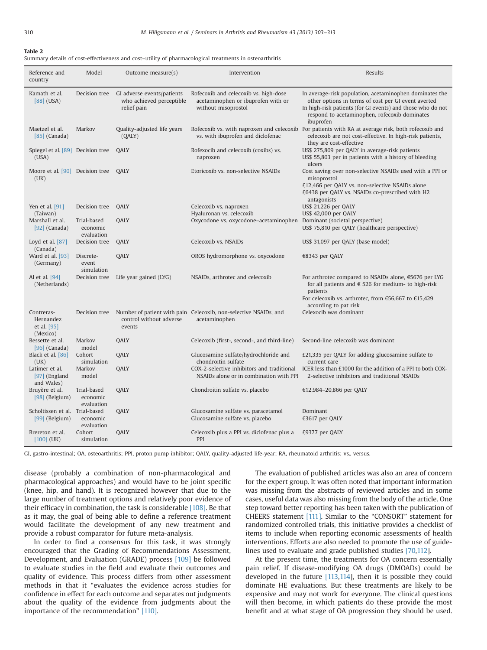#### <span id="page-7-0"></span>Table 2

Summary details of cost-effectiveness and cost–utility of pharmacological treatments in osteoarthritis

| Reference and<br>country                           | Model                                 | Outcome measure(s)                                                    | Intervention                                                                                       | Results                                                                                                                                                                                                                                    |
|----------------------------------------------------|---------------------------------------|-----------------------------------------------------------------------|----------------------------------------------------------------------------------------------------|--------------------------------------------------------------------------------------------------------------------------------------------------------------------------------------------------------------------------------------------|
| Kamath et al.<br>$[88]$ (USA)                      | Decision tree                         | GI adverse events/patients<br>who achieved perceptible<br>relief pain | Rofecoxib and celecoxib vs. high-dose<br>acetaminophen or ibuprofen with or<br>without misoprostol | In average-risk population, acetaminophen dominates the<br>other options in terms of cost per GI event averted<br>In high-risk patients (for GI events) and those who do not<br>respond to acetaminophen, rofecoxib dominates<br>ibuprofen |
| Maetzel et al.<br>$[85]$ (Canada)                  | Markov                                | Quality-adjusted life years<br>(QALY)                                 | vs. with ibuprofen and diclofenac                                                                  | Rofecoxib vs. with naproxen and celecoxib For patients with RA at average risk, both rofecoxib and<br>celecoxib are not cost-effective. In high-risk patients,<br>they are cost-effective                                                  |
| Spiegel et al. [89] Decision tree<br>(USA)         |                                       | <b>QALY</b>                                                           | Rofexocib and celecoxib (coxibs) vs.<br>naproxen                                                   | US\$ 275,809 per QALY in average-risk patients<br>US\$ 55,803 per in patients with a history of bleeding<br>ulcers                                                                                                                         |
| Moore et al. [90] Decision tree<br>(UK)            |                                       | <b>QALY</b>                                                           | Etoricoxib vs. non-selective NSAIDs                                                                | Cost saving over non-selective NSAIDs used with a PPI or<br>misoprostol<br>£12,466 per QALY vs. non-selective NSAIDs alone<br>£6438 per QALY vs. NSAIDs co-prescribed with H2<br>antagonists                                               |
| Yen et al. [91]<br>(Taiwan)                        | Decision tree                         | <b>OALY</b>                                                           | Celecoxib vs. naproxen<br>Hyaluronan vs. celecoxib                                                 | US\$ 21,226 per QALY<br>US\$ 42,000 per QALY                                                                                                                                                                                               |
| Marshall et al.<br>$[92]$ (Canada)                 | Trial-based<br>economic<br>evaluation | <b>QALY</b>                                                           | Oxycodone vs. oxycodone–acetaminophen Dominant (societal perspective)                              | US\$ 75,810 per QALY (healthcare perspective)                                                                                                                                                                                              |
| Loyd et al. [87]<br>(Canada)                       | Decision tree                         | QALY                                                                  | Celecoxib vs. NSAIDs                                                                               | US\$ 31,097 per QALY (base model)                                                                                                                                                                                                          |
| Ward et al. [93]<br>(Germany)                      | Discrete-<br>event<br>simulation      | QALY                                                                  | OROS hydromorphone vs. oxycodone                                                                   | €8343 per QALY                                                                                                                                                                                                                             |
| Al et al. [94]<br>(Netherlands)                    | Decision tree                         | Life year gained (LYG)                                                | NSAIDs, arthrotec and celecoxib                                                                    | For arthrotec compared to NSAIDs alone, €5676 per LYG<br>for all patients and $\epsilon$ 526 for medium- to high-risk<br>patients<br>For celecoxib vs. arthrotec, from €56,667 to €15,429<br>according to pat risk                         |
| Contreras-<br>Hernandez<br>et al. [95]<br>(Mexico) | Decision tree                         | control without adverse<br>events                                     | Number of patient with pain Celecoxib, non-selective NSAIDs, and<br>acetaminophen                  | Celexocib was dominant                                                                                                                                                                                                                     |
| Bessette et al.<br>$[96]$ (Canada)                 | Markov<br>model                       | QALY                                                                  | Celecoxib (first-, second-, and third-line)                                                        | Second-line celecoxib was dominant                                                                                                                                                                                                         |
| Black et al. [86]<br>(UK)                          | Cohort<br>simulation                  | QALY                                                                  | Glucosamine sulfate/hydrochloride and<br>chondroitin sulfate                                       | £21,335 per QALY for adding glucosamine sulfate to<br>current care                                                                                                                                                                         |
| Latimer et al.<br>$[97]$ (England<br>and Wales)    | Markov<br>model                       | <b>OALY</b>                                                           | COX-2-selective inhibitors and traditional<br>NSAIDs alone or in combination with PPI              | ICER less than £1000 for the addition of a PPI to both COX-<br>2-selective inhibitors and traditional NSAIDs                                                                                                                               |
| Bruyère et al.<br>[98] (Belgium)                   | Trial-based<br>economic<br>evaluation | QALY                                                                  | Chondroitin sulfate vs. placebo                                                                    | €12,984-20,866 per QALY                                                                                                                                                                                                                    |
| Scholtissen et al. Trial-based<br>$[99]$ (Belgium) | economic<br>evaluation                | QALY                                                                  | Glucosamine sulfate vs. paracetamol<br>Glucosamine sulfate vs. placebo                             | Dominant<br>€3617 per QALY                                                                                                                                                                                                                 |
| Brereton et al.<br>$[100]$ (UK)                    | Cohort<br>simulation                  | QALY                                                                  | Celecoxib plus a PPI vs. diclofenac plus a<br>PPI                                                  | £9377 per QALY                                                                                                                                                                                                                             |

GI, gastro-intestinal; OA, osteoarthritis; PPI, proton pump inhibitor; QALY, quality-adjusted life-year; RA, rheumatoid arthritis; vs., versus.

disease (probably a combination of non-pharmacological and pharmacological approaches) and would have to be joint specific (knee, hip, and hand). It is recognized however that due to the large number of treatment options and relatively poor evidence of their efficacy in combination, the task is considerable [\[108\].](#page-10-0) Be that as it may, the goal of being able to define a reference treatment would facilitate the development of any new treatment and provide a robust comparator for future meta-analysis.

In order to find a consensus for this task, it was strongly encouraged that the Grading of Recommendations Assessment, Development, and Evaluation (GRADE) process [\[109\]](#page-10-0) be followed to evaluate studies in the field and evaluate their outcomes and quality of evidence. This process differs from other assessment methods in that it "evaluates the evidence across studies for confidence in effect for each outcome and separates out judgments about the quality of the evidence from judgments about the importance of the recommendation" [\[110\]](#page-10-0).

The evaluation of published articles was also an area of concern for the expert group. It was often noted that important information was missing from the abstracts of reviewed articles and in some cases, useful data was also missing from the body of the article. One step toward better reporting has been taken with the publication of CHEERS statement [\[111\].](#page-10-0) Similar to the "CONSORT" statement for randomized controlled trials, this initiative provides a checklist of items to include when reporting economic assessments of health interventions. Efforts are also needed to promote the use of guidelines used to evaluate and grade published studies [\[70,112](#page-10-0)].

At the present time, the treatments for OA concern essentially pain relief. If disease-modifying OA drugs (DMOADs) could be developed in the future [\[113,114](#page-10-0)], then it is possible they could dominate HE evaluations. But these treatments are likely to be expensive and may not work for everyone. The clinical questions will then become, in which patients do these provide the most benefit and at what stage of OA progression they should be used.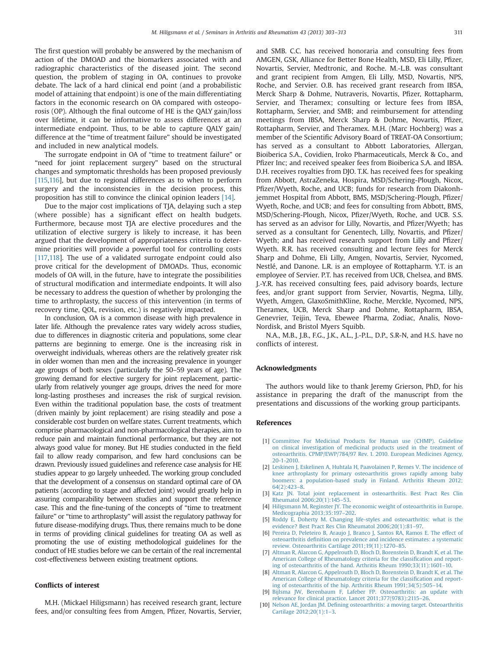<span id="page-8-0"></span>The first question will probably be answered by the mechanism of action of the DMOAD and the biomarkers associated with and radiographic characteristics of the diseased joint. The second question, the problem of staging in OA, continues to provoke debate. The lack of a hard clinical end point (and a probabilistic model of attaining that endpoint) is one of the main differentiating factors in the economic research on OA compared with osteoporosis (OP). Although the final outcome of HE is the QALY gain/loss over lifetime, it can be informative to assess differences at an intermediate endpoint. Thus, to be able to capture QALY gain/ difference at the "time of treatment failure" should be investigated and included in new analytical models.

The surrogate endpoint in OA of "time to treatment failure" or "need for joint replacement surgery" based on the structural changes and symptomatic thresholds has been proposed previously [\[115,116](#page-10-0)], but due to regional differences as to when to perform surgery and the inconsistencies in the decision process, this proposition has still to convince the clinical opinion leaders [\[14\]](#page-9-0).

Due to the major cost implications of TJA, delaying such a step (where possible) has a significant effect on health budgets. Furthermore, because most TJA are elective procedures and the utilization of elective surgery is likely to increase, it has been argued that the development of appropriateness criteria to determine priorities will provide a powerful tool for controlling costs [\[117,118\]](#page-10-0). The use of a validated surrogate endpoint could also prove critical for the development of DMOADs. Thus, economic models of OA will, in the future, have to integrate the possibilities of structural modification and intermediate endpoints. It will also be necessary to address the question of whether by prolonging the time to arthroplasty, the success of this intervention (in terms of recovery time, QOL, revision, etc.) is negatively impacted.

In conclusion, OA is a common disease with high prevalence in later life. Although the prevalence rates vary widely across studies, due to differences in diagnostic criteria and populations, some clear patterns are beginning to emerge. One is the increasing risk in overweight individuals, whereas others are the relatively greater risk in older women than men and the increasing prevalence in younger age groups of both sexes (particularly the 50–59 years of age). The growing demand for elective surgery for joint replacement, particularly from relatively younger age groups, drives the need for more long-lasting prostheses and increases the risk of surgical revision. Even within the traditional population base, the costs of treatment (driven mainly by joint replacement) are rising steadily and pose a considerable cost burden on welfare states. Current treatments, which comprise pharmacological and non-pharmacological therapies, aim to reduce pain and maintain functional performance, but they are not always good value for money. But HE studies conducted in the field fail to allow ready comparison, and few hard conclusions can be drawn. Previously issued guidelines and reference case analysis for HE studies appear to go largely unheeded. The working group concluded that the development of a consensus on standard optimal care of OA patients (according to stage and affected joint) would greatly help in assuring comparability between studies and support the reference case. This and the fine-tuning of the concepts of "time to treatment failure" or "time to arthroplasty" will assist the regulatory pathway for future disease-modifying drugs. Thus, there remains much to be done in terms of providing clinical guidelines for treating OA as well as promoting the use of existing methodological guidelines for the conduct of HE studies before we can be certain of the real incremental cost-effectiveness between existing treatment options.

## Conflicts of interest

M.H. (Mickael Hiligsmann) has received research grant, lecture fees, and/or consulting fees from Amgen, Pfizer, Novartis, Servier,

and SMB. C.C. has received honoraria and consulting fees from AMGEN, GSK, Alliance for Better Bone Health, MSD, Eli Lilly, Pfizer, Novartis, Servier, Medtronic, and Roche. M.-L.B. was consultant and grant recipient from Amgen, Eli Lilly, MSD, Novartis, NPS, Roche, and Servier. O.B. has received grant research from IBSA, Merck Sharp & Dohme, Nutraveris, Novartis, Pfizer, Rottapharm, Servier, and Theramex; consulting or lecture fees from IBSA, Rottapharm, Servier, and SMB; and reimbursement for attending meetings from IBSA, Merck Sharp & Dohme, Novartis, Pfizer, Rottapharm, Servier, and Theramex. M.H. (Marc Hochberg) was a member of the Scientific Advisory Board of TREAT-OA Consortium; has served as a consultant to Abbott Laboratories, Allergan, Bioiberica S.A., Covidien, Iroko Pharmaceuticals, Merck & Co., and Pfizer Inc; and received speaker fees from Bioiberica S.A. and IBSA. D.H. receives royalties from DJO. T.K. has received fees for speaking from Abbott, AstraZeneka, Hospira, MSD/Schering-Plough, Nicox, Pfizer/Wyeth, Roche, and UCB; funds for research from Diakonhjemmet Hospital from Abbott, BMS, MSD/Schering-Plough, Pfizer/ Wyeth, Roche, and UCB; and fees for consulting from Abbott, BMS, MSD/Schering-Plough, Nicox, Pfizer/Wyeth, Roche, and UCB. S.S. has served as an advisor for Lilly, Novartis, and Pfizer/Wyeth; has served as a consultant for Genentech, Lilly, Novartis, and Pfizer/ Wyeth; and has received research support from Lilly and Pfizer/ Wyeth. R.R. has received consulting and lecture fees for Merck Sharp and Dohme, Eli Lilly, Amgen, Novartis, Servier, Nycomed, Nestlé, and Danone. L.R. is an employee of Rottapharm. Y.T. is an employee of Servier. P.T. has received from UCB, Chelsea, and BMS. J.-Y.R. has received consulting fees, paid advisory boards, lecture fees, and/or grant support from Servier, Novartis, Negma, Lilly, Wyeth, Amgen, GlaxoSmithKline, Roche, Merckle, Nycomed, NPS, Theramex, UCB, Merck Sharp and Dohme, Rottapharm, IBSA, Genevrier, Teijin, Teva, Ebewee Pharma, Zodiac, Analis, Novo-Nordisk, and Bristol Myers Squibb.

N.A., M.B., J.B., F.G., J.K., A.L., J.-P.L., D.P., S.R-N, and H.S. have no conflicts of interest.

#### Acknowledgments

The authors would like to thank Jeremy Grierson, PhD, for his assistance in preparing the draft of the manuscript from the presentations and discussions of the working group participants.

#### References

- [1] [Committee For Medicinal Products for Human use \(CHMP\). Guideline](http://refhub.elsevier.com/S0049-0172(13)00151-0/othref0005) [on clinical investigation of medicinal products used in the treatment of](http://refhub.elsevier.com/S0049-0172(13)00151-0/othref0005) [osteoarthritis. CPMP/EWP/784/97 Rev. 1. 2010. European Medicines Agency,](http://refhub.elsevier.com/S0049-0172(13)00151-0/othref0005) [20-1-2010.](http://refhub.elsevier.com/S0049-0172(13)00151-0/othref0005)
- [2] [Leskinen J, Eskelinen A, Huhtala H, Paavolainen P, Remes V. The incidence of](http://refhub.elsevier.com/S0049-0172(13)00151-0/sbref1) [knee arthroplasty for primary osteoarthritis grows rapidly among baby](http://refhub.elsevier.com/S0049-0172(13)00151-0/sbref1) [boomers: a population-based study in Finland. Arthritis Rheum 2012;](http://refhub.elsevier.com/S0049-0172(13)00151-0/sbref1) [64\(2\):423](http://refhub.elsevier.com/S0049-0172(13)00151-0/sbref1)–8.
- [3] [Katz JN. Total joint replacement in osteoarthritis. Best Pract Res Clin](http://refhub.elsevier.com/S0049-0172(13)00151-0/sbref2) [Rheumatol 2006;20\(1\):145](http://refhub.elsevier.com/S0049-0172(13)00151-0/sbref2)–53.
- [4] [Hiligsmann M, Reginster JY. The economic weight of osteoarthritis in Europe.](http://refhub.elsevier.com/S0049-0172(13)00151-0/sbref3) [Medicographia 2013;35:197](http://refhub.elsevier.com/S0049-0172(13)00151-0/sbref3)–202.
- [5] [Roddy E, Doherty M. Changing life-styles and osteoarthritis: what is the](http://refhub.elsevier.com/S0049-0172(13)00151-0/sbref4) [evidence? Best Pract Res Clin Rheumatol 2006;20\(1\):81](http://refhub.elsevier.com/S0049-0172(13)00151-0/sbref4)–97.
- [6] [Pereira D, Peleteiro B, Araujo J, Branco J, Santos RA, Ramos E. The effect of](http://refhub.elsevier.com/S0049-0172(13)00151-0/sbref5) osteoarthritis defi[nition on prevalence and incidence estimates: a systematic](http://refhub.elsevier.com/S0049-0172(13)00151-0/sbref5) [review. Osteoarthritis Cartilage 2011;19\(11\):1270](http://refhub.elsevier.com/S0049-0172(13)00151-0/sbref5)–85.
- [7] [Altman R, Alarcon G, Appelrouth D, Bloch D, Borenstein D, Brandt K, et al. The](http://refhub.elsevier.com/S0049-0172(13)00151-0/sbref6) [American College of Rheumatology criteria for the classi](http://refhub.elsevier.com/S0049-0172(13)00151-0/sbref6)fication and report[ing of osteoarthritis of the hand. Arthritis Rheum 1990;33\(11\):1601](http://refhub.elsevier.com/S0049-0172(13)00151-0/sbref6)–10.
- [8] [Altman R, Alarcon G, Appelrouth D, Bloch D, Borenstein D, Brandt K, et al. The](http://refhub.elsevier.com/S0049-0172(13)00151-0/sbref7) [American College of Rheumatology criteria for the classi](http://refhub.elsevier.com/S0049-0172(13)00151-0/sbref7)fication and report[ing of osteoarthritis of the hip. Arthritis Rheum 1991;34\(5\):505](http://refhub.elsevier.com/S0049-0172(13)00151-0/sbref7)–14.
- [9] [Bijlsma JW, Berenbaum F, Lafeber FP. Osteoarthritis: an update with](http://refhub.elsevier.com/S0049-0172(13)00151-0/sbref8) [relevance for clinical practice. Lancet 2011;377\(9783\):2115](http://refhub.elsevier.com/S0049-0172(13)00151-0/sbref8)–26.
- [10] Nelson AE, Jordan JM. Defi[ning osteoarthritis: a moving target. Osteoarthritis](http://refhub.elsevier.com/S0049-0172(13)00151-0/sbref9) [Cartilage 2012;20\(1\):1](http://refhub.elsevier.com/S0049-0172(13)00151-0/sbref9)–3.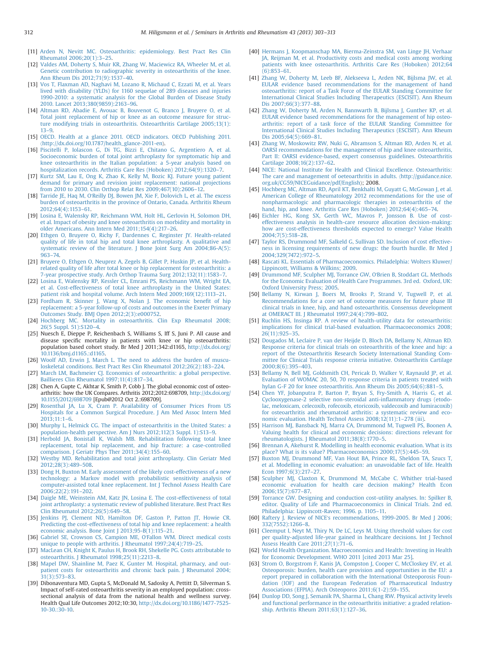- <span id="page-9-0"></span>[11] [Arden N, Nevitt MC. Osteoarthritis: epidemiology. Best Pract Res Clin](http://refhub.elsevier.com/S0049-0172(13)00151-0/sbref10) [Rheumatol 2006;20\(1\):3](http://refhub.elsevier.com/S0049-0172(13)00151-0/sbref10)–25.
- [12] [Valdes AM, Doherty S, Muir KR, Zhang W, Maciewicz RA, Wheeler M, et al.](http://refhub.elsevier.com/S0049-0172(13)00151-0/sbref11) [Genetic contribution to radiographic severity in osteoarthritis of the knee.](http://refhub.elsevier.com/S0049-0172(13)00151-0/sbref11) [Ann Rheum Dis 2012;71\(9\):1537](http://refhub.elsevier.com/S0049-0172(13)00151-0/sbref11)–40.
- [13] [Vos T, Flaxman AD, Naghavi M, Lozano R, Michaud C, Ezzati M, et al. Years](http://refhub.elsevier.com/S0049-0172(13)00151-0/sbref12) [lived with disability \(YLDs\) for 1160 sequelae of 289 diseases and injuries](http://refhub.elsevier.com/S0049-0172(13)00151-0/sbref12) [1990-2010: a systematic analysis for the Global Burden of Disease Study](http://refhub.elsevier.com/S0049-0172(13)00151-0/sbref12) [2010. Lancet 2013;380\(9859\):2163](http://refhub.elsevier.com/S0049-0172(13)00151-0/sbref12)–96.
- [14] [Altman RD, Abadie E, Avouac B, Bouvenot G, Branco J, Bruyere O, et al.](http://refhub.elsevier.com/S0049-0172(13)00151-0/sbref13) [Total joint replacement of hip or knee as an outcome measure for struc](http://refhub.elsevier.com/S0049-0172(13)00151-0/sbref13)[ture modifying trials in osteoarthritis. Osteoarthritis Cartilage 2005;13\(1\):](http://refhub.elsevier.com/S0049-0172(13)00151-0/sbref13) [13](http://refhub.elsevier.com/S0049-0172(13)00151-0/sbref13)–9.
- [15] [OECD. Health at a glance 2011. OECD indicators. OECD Publishing 2011.](http://refhub.elsevier.com/S0049-0172(13)00151-0/othref0010) 〈[http://dx.doi.org/10.1787/health\\_glance-2011-en](dx.doi.org/http://dx.doi.org/10.1787/health_glance-2011-en)〉.
- [16] [Piscitelli P, Iolascon G, Di TG, Bizzi E, Chitano G, Argentiero A, et al.](http://refhub.elsevier.com/S0049-0172(13)00151-0/sbref14) [Socioeconomic burden of total joint arthroplasty for symptomatic hip and](http://refhub.elsevier.com/S0049-0172(13)00151-0/sbref14) [knee osteoarthritis in the Italian population: a 5-year analysis based on](http://refhub.elsevier.com/S0049-0172(13)00151-0/sbref14) [hospitalization records. Arthritis Care Res \(Hoboken\) 2012;64\(9\):1320](http://refhub.elsevier.com/S0049-0172(13)00151-0/sbref14)–7.
- [17] [Kurtz SM, Lau E, Ong K, Zhao K, Kelly M, Bozic KJ. Future young patient](http://refhub.elsevier.com/S0049-0172(13)00151-0/sbref15) [demand for primary and revision joint replacement: national projections](http://refhub.elsevier.com/S0049-0172(13)00151-0/sbref15) [from 2010 to 2030. Clin Orthop Relat Res 2009;467\(10\):2606](http://refhub.elsevier.com/S0049-0172(13)00151-0/sbref15)–12.
- [18] Tarride JE, Haq M, O'[Reilly DJ, Bowen JM, Xie F, Dolovich L, et al. The excess](http://refhub.elsevier.com/S0049-0172(13)00151-0/sbref16) [burden of osteoarthritis in the province of Ontario, Canada. Arthritis Rheum](http://refhub.elsevier.com/S0049-0172(13)00151-0/sbref16) [2012;64\(4\):1153](http://refhub.elsevier.com/S0049-0172(13)00151-0/sbref16)–61.
- [19] [Losina E, Walensky RP, Reichmann WM, Holt HL, Gerlovin H, Solomon DH,](http://refhub.elsevier.com/S0049-0172(13)00151-0/sbref17) [et al. Impact of obesity and knee osteoarthritis on morbidity and mortality in](http://refhub.elsevier.com/S0049-0172(13)00151-0/sbref17) [older Americans. Ann Intern Med 2011;154\(4\):217](http://refhub.elsevier.com/S0049-0172(13)00151-0/sbref17)–26.
- [20] [Ethgen O, Bruyere O, Richy F, Dardennes C, Reginster JY. Health-related](http://refhub.elsevier.com/S0049-0172(13)00151-0/sbref18) [quality of life in total hip and total knee arthroplasty. A qualitative and](http://refhub.elsevier.com/S0049-0172(13)00151-0/sbref18) [systematic review of the literature. J Bone Joint Surg Am 2004;86-A\(5\):](http://refhub.elsevier.com/S0049-0172(13)00151-0/sbref18) [963](http://refhub.elsevier.com/S0049-0172(13)00151-0/sbref18)–74.
- [21] [Bruyere O, Ethgen O, Neuprez A, Zegels B, Gillet P, Huskin JP, et al. Health](http://refhub.elsevier.com/S0049-0172(13)00151-0/sbref19)[related quality of life after total knee or hip replacement for osteoarthritis: a](http://refhub.elsevier.com/S0049-0172(13)00151-0/sbref19) -year prospective study. Arch Orthop Trauma Surg 2012;132(11):1583-7
- [22] [Losina E, Walensky RP, Kessler CL, Emrani PS, Reichmann WM, Wright EA,](http://refhub.elsevier.com/S0049-0172(13)00151-0/sbref20) [et al. Cost-effectiveness of total knee arthroplasty in the United States:](http://refhub.elsevier.com/S0049-0172(13)00151-0/sbref20) [patient risk and hospital volume. Arch Intern Med 2009;169\(12\):1113](http://refhub.elsevier.com/S0049-0172(13)00151-0/sbref20)–21.
- [23] [Fordham R, Skinner J, Wang X, Nolan J. The economic bene](http://refhub.elsevier.com/S0049-0172(13)00151-0/sbref21)fit of hip [replacement: a 5-year follow-up of costs and outcomes in the Exeter Primary](http://refhub.elsevier.com/S0049-0172(13)00151-0/sbref21) [Outcomes Study. BMJ Open 2012;2\(3\):e000752.](http://refhub.elsevier.com/S0049-0172(13)00151-0/sbref21)
- [24] [Hochberg MC. Mortality in osteoarthritis. Clin Exp Rheumatol 2008;](http://refhub.elsevier.com/S0049-0172(13)00151-0/sbref22) [26\(5 Suppl. 51\):S120](http://refhub.elsevier.com/S0049-0172(13)00151-0/sbref22)–4.
- [25] Nuesch E, Dieppe P, Reichenbach S, Williams S, Iff S, Juni P. All cause and disease specific mortality in patients with knee or hip osteoarthritis: population based cohort study. Br Med J 2011;342:d1165, [http://dx.doi.org/](dx.doi.org/10.1136/bmj.d1165.:d1165) [10.1136/bmj.d1165.:d1165.](dx.doi.org/10.1136/bmj.d1165.:d1165)
- [26] [Woolf AD, Erwin J, March L. The need to address the burden of muscu](http://refhub.elsevier.com/S0049-0172(13)00151-0/sbref24)[loskeletal conditions. Best Pract Res Clin Rheumatol 2012;26\(2\):183](http://refhub.elsevier.com/S0049-0172(13)00151-0/sbref24)–224.
- [27] [March LM, Bachmeier CJ. Economics of osteoarthritis: a global perspective.](http://refhub.elsevier.com/S0049-0172(13)00151-0/sbref25) [Baillieres Clin Rheumatol 1997;11\(4\):817](http://refhub.elsevier.com/S0049-0172(13)00151-0/sbref25)–34.
- [28] Chen A, Gupte C, Akhtar K, Smith P, Cobb J. The global economic cost of osteoarthritis: how the UK Compares. Arthritis 2012;2012:698709, [http://dx.doi.org/](dx.doi.org/&!QJ;10.1155/2012/698709) [10.1155/2012/698709](dx.doi.org/&!QJ;10.1155/2012/698709) [Epub@2012 Oct 2.:698709].
- [29] [Rosenthal JA, Lu X, Cram P. Availability of Consumer Prices From US](http://refhub.elsevier.com/S0049-0172(13)00151-0/sbref27) [Hospitals for a Common Surgical Procedure. J Am Med Assoc Intern Med](http://refhub.elsevier.com/S0049-0172(13)00151-0/sbref27)  $2013:11:1-6$
- [30] [Murphy L, Helmick CG. The impact of osteoarthritis in the United States: a](http://refhub.elsevier.com/S0049-0172(13)00151-0/sbref28) [population-health perspective. Am J Nurs 2012;112\(3 Suppl. 1\):S13](http://refhub.elsevier.com/S0049-0172(13)00151-0/sbref28)–9.
- [31] [Herbold JA, Bonistall K, Walsh MB. Rehabilitation following total knee](http://refhub.elsevier.com/S0049-0172(13)00151-0/sbref29) [replacement, total hip replacement, and hip fracture: a case-controlled](http://refhub.elsevier.com/S0049-0172(13)00151-0/sbref29) [comparison. J Geriatr Phys Ther 2011;34\(4\):155](http://refhub.elsevier.com/S0049-0172(13)00151-0/sbref29)–60.
- [32] [Westby MD. Rehabilitation and total joint arthroplasty. Clin Geriatr Med](http://refhub.elsevier.com/S0049-0172(13)00151-0/sbref30) [2012;28\(3\):489](http://refhub.elsevier.com/S0049-0172(13)00151-0/sbref30)–508.
- [33] [Dong H, Buxton M. Early assessment of the likely cost-effectiveness of a new](http://refhub.elsevier.com/S0049-0172(13)00151-0/sbref31) [technology: a Markov model with probabilistic sensitivity analysis of](http://refhub.elsevier.com/S0049-0172(13)00151-0/sbref31) [computer-assisted total knee replacement. Int J Technol Assess Health Care](http://refhub.elsevier.com/S0049-0172(13)00151-0/sbref31) [2006;22\(2\):191](http://refhub.elsevier.com/S0049-0172(13)00151-0/sbref31)–202.
- [34] [Daigle ME, Weinstein AM, Katz JN, Losina E. The cost-effectiveness of total](http://refhub.elsevier.com/S0049-0172(13)00151-0/sbref32) [joint arthroplasty: a systematic review of published literature. Best Pract Res](http://refhub.elsevier.com/S0049-0172(13)00151-0/sbref32) [Clin Rheumatol 2012;26\(5\):649](http://refhub.elsevier.com/S0049-0172(13)00151-0/sbref32)–58.
- [35] [Jenkins PJ, Clement ND, Hamilton DF, Gaston P, Patton JT, Howie CR.](http://refhub.elsevier.com/S0049-0172(13)00151-0/sbref33) [Predicting the cost-effectiveness of total hip and knee replacement: a health](http://refhub.elsevier.com/S0049-0172(13)00151-0/sbref33) [economic analysis. Bone Joint J 2013;95-B\(1\):115](http://refhub.elsevier.com/S0049-0172(13)00151-0/sbref33)–21.
- [36] [Gabriel SE, Crowson CS, Campion ME, O](http://refhub.elsevier.com/S0049-0172(13)00151-0/sbref34)'Fallon WM. Direct medical costs [unique to people with arthritis. J Rheumatol 1997;24\(4\):719](http://refhub.elsevier.com/S0049-0172(13)00151-0/sbref34)–25.
- [37] [MacLean CH, Knight K, Paulus H, Brook RH, Shekelle PG. Costs attributable to](http://refhub.elsevier.com/S0049-0172(13)00151-0/sbref35) [osteoarthritis. J Rheumatol 1998;25\(11\):2213](http://refhub.elsevier.com/S0049-0172(13)00151-0/sbref35)–8.
- [38] Mapel DW, Shainline M, Paez K, Gunter M, Hospital, pharmacy, and out[patient costs for osteoarthritis and chronic back pain. J Rheumatol 2004;](http://refhub.elsevier.com/S0049-0172(13)00151-0/sbref36) [31\(3\):573](http://refhub.elsevier.com/S0049-0172(13)00151-0/sbref36)–83.
- [39] Dibonaventura MD, Gupta S, McDonald M, Sadosky A, Pettitt D, Silverman S. Impact of self-rated osteoarthritis severity in an employed population: crosssectional analysis of data from the national health and wellness survey. Health Qual Life Outcomes 2012;10:30, [http://dx.doi.org/10.1186/1477-7525-](dx.doi.org/10.1186/1477-7525-10-30.:30-10) [10-30.:30-10](dx.doi.org/10.1186/1477-7525-10-30.:30-10).
- [40] [Hermans J, Koopmanschap MA, Bierma-Zeinstra SM, van Linge JH, Verhaar](http://refhub.elsevier.com/S0049-0172(13)00151-0/sbref38) [JA, Reijman M, et al. Productivity costs and medical costs among working](http://refhub.elsevier.com/S0049-0172(13)00151-0/sbref38) [patients with knee osteoarthritis. Arthritis Care Res \(Hoboken\) 2012;64](http://refhub.elsevier.com/S0049-0172(13)00151-0/sbref38) [\(6\):853](http://refhub.elsevier.com/S0049-0172(13)00151-0/sbref38)–61.
- [41] [Zhang W, Doherty M, Leeb BF, Alekseeva L, Arden NK, Bijlsma JW, et al.](http://refhub.elsevier.com/S0049-0172(13)00151-0/sbref39) [EULAR evidence based recommendations for the management of hand](http://refhub.elsevier.com/S0049-0172(13)00151-0/sbref39) [osteoarthritis: report of a Task Force of the EULAR Standing Committee for](http://refhub.elsevier.com/S0049-0172(13)00151-0/sbref39) [International Clinical Studies Including Therapeutics \(ESCISIT\). Ann Rheum](http://refhub.elsevier.com/S0049-0172(13)00151-0/sbref39) [Dis 2007;66\(3\):377](http://refhub.elsevier.com/S0049-0172(13)00151-0/sbref39)–88.
- [42] [Zhang W, Doherty M, Arden N, Bannwarth B, Bijlsma J, Gunther KP, et al.](http://refhub.elsevier.com/S0049-0172(13)00151-0/sbref40) [EULAR evidence based recommendations for the management of hip osteo](http://refhub.elsevier.com/S0049-0172(13)00151-0/sbref40)[arthritis: report of a task force of the EULAR Standing Committee for](http://refhub.elsevier.com/S0049-0172(13)00151-0/sbref40) [International Clinical Studies Including Therapeutics \(ESCISIT\). Ann Rheum](http://refhub.elsevier.com/S0049-0172(13)00151-0/sbref40) [Dis 2005;64\(5\):669](http://refhub.elsevier.com/S0049-0172(13)00151-0/sbref40)–81.
- [43] [Zhang W, Moskowitz RW, Nuki G, Abramson S, Altman RD, Arden N, et al.](http://refhub.elsevier.com/S0049-0172(13)00151-0/sbref41) [OARSI recommendations for the management of hip and knee osteoarthritis,](http://refhub.elsevier.com/S0049-0172(13)00151-0/sbref41) [Part II: OARSI evidence-based, expert consensus guidelines. Osteoarthritis](http://refhub.elsevier.com/S0049-0172(13)00151-0/sbref41) [Cartilage 2008;16\(2\):137](http://refhub.elsevier.com/S0049-0172(13)00151-0/sbref41)–62.
- [44] [NICE: National Institute for Health and Clinical Excellence. Osteoarthritis:](http://refhub.elsevier.com/S0049-0172(13)00151-0/othref0015) [The care and management of oeteoarthritis in adults.](http://guidance.nice.org.uk/CG59/NICEGuidance/pdf/English) 〈http://guidance.nice. [org.uk/CG59/NICEGuidance/pdf/English](http://guidance.nice.org.uk/CG59/NICEGuidance/pdf/English)〉; 2008.
- [45] [Hochberg MC, Altman RD, April KT, Benkhalti M, Guyatt G, McGowan J, et al.](http://refhub.elsevier.com/S0049-0172(13)00151-0/sbref42) [American College of Rheumatology 2012 recommendations for the use of](http://refhub.elsevier.com/S0049-0172(13)00151-0/sbref42) [nonpharmacologic and pharmacologic therapies in osteoarthritis of the](http://refhub.elsevier.com/S0049-0172(13)00151-0/sbref42) [hand, hip, and knee. Arthritis Care Res \(Hoboken\) 2012;64\(4\):465](http://refhub.elsevier.com/S0049-0172(13)00151-0/sbref42)–74.
- [46] [Eichler HG, Kong SX, Gerth WC, Mavros P, Jonsson B. Use of cost](http://refhub.elsevier.com/S0049-0172(13)00151-0/sbref43)[effectiveness analysis in health-care resource allocation decision-making:](http://refhub.elsevier.com/S0049-0172(13)00151-0/sbref43) [how are cost-effectiveness thresholds expected to emerge? Value Health](http://refhub.elsevier.com/S0049-0172(13)00151-0/sbref43) [2004;7\(5\):518](http://refhub.elsevier.com/S0049-0172(13)00151-0/sbref43)–28.
- [47] [Taylor RS, Drummond MF, Salkeld G, Sullivan SD. Inclusion of cost effective](http://refhub.elsevier.com/S0049-0172(13)00151-0/sbref44)[ness in licensing requirements of new drugs: the fourth hurdle. Br Med J](http://refhub.elsevier.com/S0049-0172(13)00151-0/sbref44) [2004;329\(7472\):972](http://refhub.elsevier.com/S0049-0172(13)00151-0/sbref44)–5.
- [48] [Rascati KL. Essentials of Pharmacoeconomics. Philadelphia: Wolters Kluwer/](http://refhub.elsevier.com/S0049-0172(13)00151-0/sbref45) [Lippincott, Williams](http://refhub.elsevier.com/S0049-0172(13)00151-0/sbref45) [& Wilkins; 2009.](http://refhub.elsevier.com/S0049-0172(13)00151-0/sbref45)
- [49] [Drummond MF, Sculpher MJ, Torrance GW, O](http://refhub.elsevier.com/S0049-0172(13)00151-0/sbref46)'Brien B, Stoddart GL. Methods [for the Economic Evaluation of Health Care Programmes. 3rd ed. Oxford, UK:](http://refhub.elsevier.com/S0049-0172(13)00151-0/sbref46) [Oxford University Press; 2005.](http://refhub.elsevier.com/S0049-0172(13)00151-0/sbref46)
- [50] [Bellamy N, Kirwan J, Boers M, Brooks P, Strand V, Tugwell P, et al.](http://refhub.elsevier.com/S0049-0172(13)00151-0/sbref47) [Recommendations for a core set of outcome measures for future phase III](http://refhub.elsevier.com/S0049-0172(13)00151-0/sbref47) [clinical trials in knee, hip, and hand osteoarthritis. Consensus development](http://refhub.elsevier.com/S0049-0172(13)00151-0/sbref47) [at OMERACT III. J Rheumatol 1997;24\(4\):799](http://refhub.elsevier.com/S0049-0172(13)00151-0/sbref47)–802.
- [51] [Ruchlin HS, Insinga RP. A review of health-utility data for osteoarthritis:](http://refhub.elsevier.com/S0049-0172(13)00151-0/sbref48) [implications for clinical trial-based evaluation. Pharmacoeconomics 2008;](http://refhub.elsevier.com/S0049-0172(13)00151-0/sbref48)  $26(11):925-35.$  $26(11):925-35.$
- [52] [Dougados M, Leclaire P, van der Heijde D, Bloch DA, Bellamy N, Altman RD.](http://refhub.elsevier.com/S0049-0172(13)00151-0/sbref49) [Response criteria for clinical trials on osteoarthritis of the knee and hip: a](http://refhub.elsevier.com/S0049-0172(13)00151-0/sbref49) [report of the Osteoarthritis Research Society International Standing Com](http://refhub.elsevier.com/S0049-0172(13)00151-0/sbref49)[mittee for Clinical Trials response criteria initiative. Osteoarthritis Cartilage](http://refhub.elsevier.com/S0049-0172(13)00151-0/sbref49) [2000;8\(6\):395](http://refhub.elsevier.com/S0049-0172(13)00151-0/sbref49)–403.
- [53] [Bellamy N, Bell MJ, Goldsmith CH, Pericak D, Walker V, Raynauld JP, et al.](http://refhub.elsevier.com/S0049-0172(13)00151-0/sbref50) [Evaluation of WOMAC 20, 50, 70 response criteria in patients treated with](http://refhub.elsevier.com/S0049-0172(13)00151-0/sbref50) [hylan G-F 20 for knee osteoarthritis. Ann Rheum Dis 2005;64\(6\):881](http://refhub.elsevier.com/S0049-0172(13)00151-0/sbref50)–5.
- [54] [Chen YF, Jobanputra P, Barton P, Bryan S, Fry-Smith A, Harris G, et al.](http://refhub.elsevier.com/S0049-0172(13)00151-0/sbref51) [Cyclooxygenase-2 selective non-steroidal anti-in](http://refhub.elsevier.com/S0049-0172(13)00151-0/sbref51)flammatory drugs (etodo[lac, meloxicam, celecoxib, rofecoxib, etoricoxib, valdecoxib and lumiracoxib\)](http://refhub.elsevier.com/S0049-0172(13)00151-0/sbref51) [for osteoarthritis and rheumatoid arthritis: a systematic review and eco](http://refhub.elsevier.com/S0049-0172(13)00151-0/sbref51)[nomic evaluation. Health Technol Assess 2008;12\(11\):1](http://refhub.elsevier.com/S0049-0172(13)00151-0/sbref51)–278 (iii).
- [55] [Harrison MJ, Bansback NJ, Marra CA, Drummond M, Tugwell PS, Boonen A.](http://refhub.elsevier.com/S0049-0172(13)00151-0/sbref52) [Valuing health for clinical and economic decisions: directions relevant for](http://refhub.elsevier.com/S0049-0172(13)00151-0/sbref52) [rheumatologists. J Rheumatol 2011;38\(8\):1770](http://refhub.elsevier.com/S0049-0172(13)00151-0/sbref52)–5.
- [56] [Brennan A, Akehurst R. Modelling in health economic evaluation. What is its](http://refhub.elsevier.com/S0049-0172(13)00151-0/sbref53) [place? What is its value? Pharmacoeconomics 2000;17\(5\):445](http://refhub.elsevier.com/S0049-0172(13)00151-0/sbref53)–59.
- [57] [Buxton MJ, Drummond MF, Van Hout BA, Prince RL, Sheldon TA, Szucs T,](http://refhub.elsevier.com/S0049-0172(13)00151-0/sbref54) [et al. Modelling in economic evaluation: an unavoidable fact of life. Health](http://refhub.elsevier.com/S0049-0172(13)00151-0/sbref54) [Econ 1997;6\(3\):217](http://refhub.elsevier.com/S0049-0172(13)00151-0/sbref54)–27.
- [58] [Sculpher MJ, Claxton K, Drummond M, McCabe C. Whither trial-based](http://refhub.elsevier.com/S0049-0172(13)00151-0/sbref55) [economic evaluation for health care decision making? Health Econ](http://refhub.elsevier.com/S0049-0172(13)00151-0/sbref55) [2006;15\(7\):677](http://refhub.elsevier.com/S0049-0172(13)00151-0/sbref55)–87.
- [59] [Torrance GW. Designing and conduction cost-utility analyses. In: Spilker B,](http://refhub.elsevier.com/S0049-0172(13)00151-0/sbref56) [editor. Quality of Life and Pharmacoeconomics in Clinical Trials. 2nd ed.](http://refhub.elsevier.com/S0049-0172(13)00151-0/sbref56) [Philadelphia: Lippincott-Raven; 1996. p. 1105](http://refhub.elsevier.com/S0049-0172(13)00151-0/sbref56)–11.
- [60] Raftery J. Review of NICE'[s recommendations, 1999-2005. Br Med J 2006;](http://refhub.elsevier.com/S0049-0172(13)00151-0/sbref57) [332\(7552\):1266](http://refhub.elsevier.com/S0049-0172(13)00151-0/sbref57)–8.
- [61] [Cleemput I, Neyt M, Thiry N, De LC, Leys M. Using threshold values for cost](http://refhub.elsevier.com/S0049-0172(13)00151-0/sbref58) [per quality-adjusted life-year gained in healthcare decisions. Int J Technol](http://refhub.elsevier.com/S0049-0172(13)00151-0/sbref58) [Assess Health Care 2011;27\(1\):71](http://refhub.elsevier.com/S0049-0172(13)00151-0/sbref58)–6.
- [62] [World Health Organization. Macroeconomics and Health: Investing in Health](http://refhub.elsevier.com/S0049-0172(13)00151-0/othref0020) [for Economic Development. WHO 2011 \[cited 2013 Mar 25\].](http://refhub.elsevier.com/S0049-0172(13)00151-0/othref0020)
- [63] [Strom O, Borgstrom F, Kanis JA, Compston J, Cooper C, McCloskey EV, et al.](http://refhub.elsevier.com/S0049-0172(13)00151-0/sbref59) [Osteoporosis: burden, health care provision and opportunities in the EU: a](http://refhub.elsevier.com/S0049-0172(13)00151-0/sbref59) [report prepared in collaboration with the International Osteoporosis Foun](http://refhub.elsevier.com/S0049-0172(13)00151-0/sbref59)[dation \(IOF\) and the European Federation of Pharmaceutical Industry](http://refhub.elsevier.com/S0049-0172(13)00151-0/sbref59) [Associations \(EFPIA\). Arch Osteoporos 2011;6\(1-2\):59](http://refhub.elsevier.com/S0049-0172(13)00151-0/sbref59)–155.
- [64] [Dunlop DD, Song J, Semanik PA, Sharma L, Chang RW. Physical activity levels](http://refhub.elsevier.com/S0049-0172(13)00151-0/sbref60) [and functional performance in the osteoarthritis initiative: a graded relation](http://refhub.elsevier.com/S0049-0172(13)00151-0/sbref60)[ship. Arthritis Rheum 2011;63\(1\):127](http://refhub.elsevier.com/S0049-0172(13)00151-0/sbref60)–36.